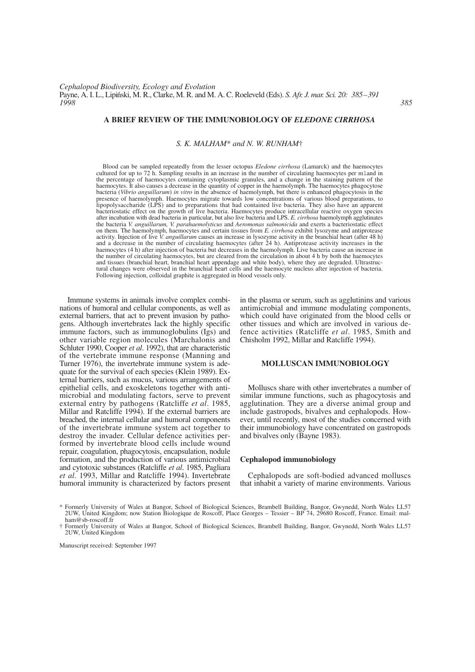# **A BRIEF REVIEW OF THE IMMUNOBIOLOGY OF** *ELEDONE CIRRHOSA*

*S. K. MALHAM*\* *and N. W. RUNHAM*†

Blood can be sampled repeatedly from the lesser octopus *Eledone cirrhosa* (Lamarck) and the haemocytes cultured for up to 72 h. Sampling results in an increase in the number of circulating haemocytes per mland in the percentage of haemocytes containing cytoplasmic granules, and a change in the staining pattern of the haemocytes. It also causes a decrease in the quantity of copper in the haemolymph. The haemocytes phagocytose bacteria (*Vibrio anguillarum*) *in vitro* in the absence of haemolymph, but there is enhanced phagocytosis in the presence of haemolymph. Haemocytes migrate towards low concentrations of various blood preparations, to lipopolysaccharide (LPS) and to preparations that had contained live bacteria. They also have an apparent bacteriostatic effect on the growth of live bacteria. Haemocytes produce intracellular reactive oxygen species after incubation with dead bacteria in particular, but also live bacteria and LPS. *E. cirrhosa* haemolymph agglutinates the bacteria *V. anguillarum, V. parahaemolyticus* and *Aeromonas salmonicida* and exerts a bacteriostatic effect on them. The haemolymph, haemocytes and certain tissues from *E. cirrhosa* exhibit lysozyme and antiprotease activity. Injection of live *V. anguillarum* causes an increase in lysozyme activity in the branchial heart (after 48 h) and a decrease in the number of circulating haemocytes (after 24 h). Antiprotease activity increases in the haemocytes (4 h) after injection of bacteria but decreases in the haemolymph. Live bacteria cause an increase in the number of circulating haemocytes, but are cleared from the circulation in about 4 h by both the haemocytes and tissues (branchial heart, branchial heart appendage and white body), where they are degraded. Ultrastructural changes were observed in the branchial heart cells and the haemocyte nucleus after injection of bacteria. Following injection, colloidal graphite is aggregated in blood vessels only.

Immune systems in animals involve complex combinations of humoral and cellular components, as well as external barriers, that act to prevent invasion by pathogens. Although invertebrates lack the highly specific immune factors, such as immunoglobulins (Igs) and other variable region molecules (Marchalonis and Schluter 1990, Cooper *et al*. 1992), that are characteristic of the vertebrate immune response (Manning and Turner 1976), the invertebrate immune system is adequate for the survival of each species (Klein 1989). External barriers, such as mucus, various arrangements of epithelial cells, and exoskeletons together with antimicrobial and modulating factors, serve to prevent external entry by pathogens (Ratcliffe *et al*. 1985, Millar and Ratcliffe 1994). If the external barriers are breached, the internal cellular and humoral components of the invertebrate immune system act together to destroy the invader. Cellular defence activities performed by invertebrate blood cells include wound repair, coagulation, phagocytosis, encapsulation, nodule formation, and the production of various antimicrobial and cytotoxic substances (Ratcliffe *et al*. 1985, Pagliara *et al*. 1993, Millar and Ratcliffe 1994). Invertebrate humoral immunity is characterized by factors present in the plasma or serum, such as agglutinins and various antimicrobial and immune modulating components, which could have originated from the blood cells or other tissues and which are involved in various defence activities (Ratcliffe *et al*. 1985, Smith and Chisholm 1992, Millar and Ratcliffe 1994).

## **MOLLUSCAN IMMUNOBIOLOGY**

Molluscs share with other invertebrates a number of similar immune functions, such as phagocytosis and agglutination. They are a diverse animal group and include gastropods, bivalves and cephalopods. However, until recently, most of the studies concerned with their immunobiology have concentrated on gastropods and bivalves only (Bayne 1983).

## **Cephalopod immunobiology**

Cephalopods are soft-bodied advanced molluscs that inhabit a variety of marine environments. Various

Manuscript received: September 1997

<sup>\*</sup> Formerly University of Wales at Bangor, School of Biological Sciences, Brambell Building, Bangor, Gwynedd, North Wales LL57 2UW, United Kingdom; now Station Biologique de Roscoff, Place Georges – Tessier – BP 74, 29680 Roscoff, France. Email: malham@sb-roscoff.fr

<sup>†</sup> Formerly University of Wales at Bangor, School of Biological Sciences, Brambell Building, Bangor, Gwynedd, North Wales LL57 2UW, United Kingdom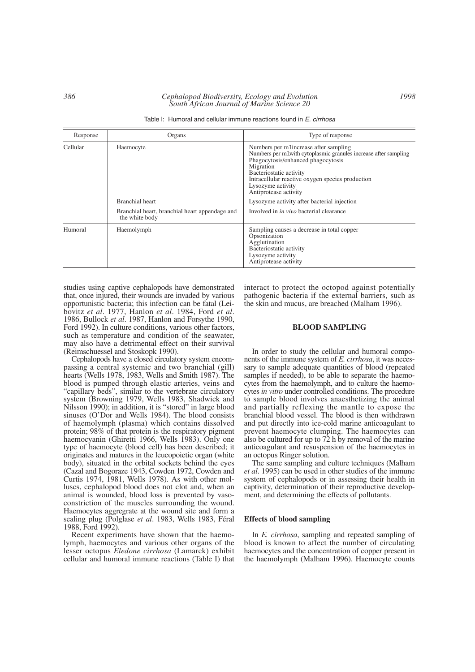| Table I: Humoral and cellular immune reactions found in E. cirrhosa |  |
|---------------------------------------------------------------------|--|
|---------------------------------------------------------------------|--|

| Response | Organs                                                           | Type of response                                                                                                                                                                                                                                                                          |
|----------|------------------------------------------------------------------|-------------------------------------------------------------------------------------------------------------------------------------------------------------------------------------------------------------------------------------------------------------------------------------------|
| Cellular | Haemocyte                                                        | Numbers per m1 increase after sampling<br>Numbers per m1with cytoplasmic granules increase after sampling<br>Phagocytosis/enhanced phagocytosis<br>Migration<br>Bacteriostatic activity<br>Intracellular reactive oxygen species production<br>Lysozyme activity<br>Antiprotease activity |
|          | Branchial heart                                                  | Lysozyme activity after bacterial injection                                                                                                                                                                                                                                               |
|          | Branchial heart, branchial heart appendage and<br>the white body | Involved in <i>in vivo</i> bacterial clearance                                                                                                                                                                                                                                            |
| Humoral  | Haemolymph                                                       | Sampling causes a decrease in total copper<br>Opsonization<br>Agglutination<br>Bacteriostatic activity<br>Lysozyme activity<br>Antiprotease activity                                                                                                                                      |

studies using captive cephalopods have demonstrated that, once injured, their wounds are invaded by various opportunistic bacteria; this infection can be fatal (Leibovitz *et al*. 1977, Hanlon *et al*. 1984, Ford *et al*. 1986, Bullock *et al*. 1987, Hanlon and Forsythe 1990, Ford 1992). In culture conditions, various other factors, such as temperature and condition of the seawater, may also have a detrimental effect on their survival (Reimschuessel and Stoskopk 1990).

Cephalopods have a closed circulatory system encompassing a central systemic and two branchial (gill) hearts (Wells 1978, 1983, Wells and Smith 1987). The blood is pumped through elastic arteries, veins and "capillary beds", similar to the vertebrate circulatory system (Browning 1979, Wells 1983, Shadwick and Nilsson 1990); in addition, it is "stored" in large blood sinuses (O'Dor and Wells 1984). The blood consists of haemolymph (plasma) which contains dissolved protein; 98% of that protein is the respiratory pigment haemocyanin (Ghiretti 1966, Wells 1983). Only one type of haemocyte (blood cell) has been described; it originates and matures in the leucopoietic organ (white body), situated in the orbital sockets behind the eyes (Cazal and Bogoraze 1943, Cowden 1972, Cowden and Curtis 1974, 1981, Wells 1978). As with other molluscs, cephalopod blood does not clot and, when an animal is wounded, blood loss is prevented by vasoconstriction of the muscles surrounding the wound. Haemocytes aggregrate at the wound site and form a sealing plug (Polglase *et al*. 1983, Wells 1983, Féral 1988, Ford 1992).

Recent experiments have shown that the haemolymph, haemocytes and various other organs of the lesser octopus *Eledone cirrhosa* (Lamarck) exhibit cellular and humoral immune reactions (Table I) that interact to protect the octopod against potentially pathogenic bacteria if the external barriers, such as the skin and mucus, are breached (Malham 1996).

#### **BLOOD SAMPLING**

In order to study the cellular and humoral components of the immune system of *E. cirrhosa*, it was necessary to sample adequate quantities of blood (repeated samples if needed), to be able to separate the haemocytes from the haemolymph, and to culture the haemocytes *in vitro* under controlled conditions. The procedure to sample blood involves anaesthetizing the animal and partially reflexing the mantle to expose the branchial blood vessel. The blood is then withdrawn and put directly into ice-cold marine anticoagulant to prevent haemocyte clumping. The haemocytes can also be cultured for up to 72 h by removal of the marine anticoagulant and resuspension of the haemocytes in an octopus Ringer solution.

The same sampling and culture techniques (Malham *et al*. 1995) can be used in other studies of the immune system of cephalopods or in assessing their health in captivity, determination of their reproductive development, and determining the effects of pollutants.

#### **Effects of blood sampling**

In *E. cirrhosa*, sampling and repeated sampling of blood is known to affect the number of circulating haemocytes and the concentration of copper present in the haemolymph (Malham 1996). Haemocyte counts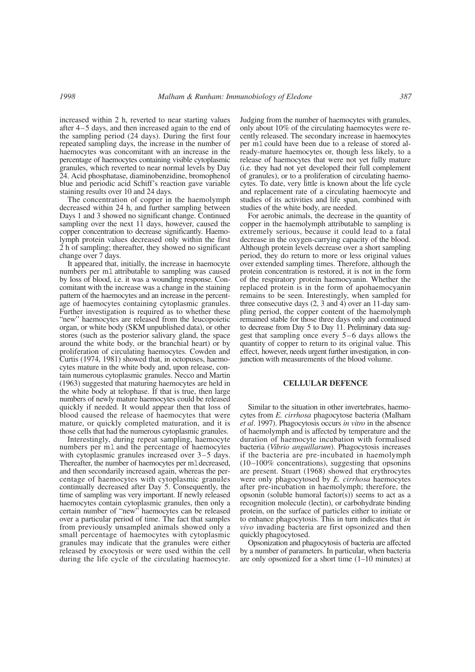increased within 2 h, reverted to near starting values after 4–5 days, and then increased again to the end of the sampling period (24 days). During the first four repeated sampling days, the increase in the number of haemocytes was concomitant with an increase in the percentage of haemocytes containing visible cytoplasmic granules, which reverted to near normal levels by Day 24. Acid phosphatase, diaminobenzidine, bromophenol blue and periodic acid Schiff's reaction gave variable staining results over 10 and 24 days.

The concentration of copper in the haemolymph decreased within 24 h, and further sampling between Days 1 and 3 showed no significant change. Continued sampling over the next 11 days, however, caused the copper concentration to decrease significantly. Haemolymph protein values decreased only within the first 2 h of sampling; thereafter, they showed no significant change over 7 days.

It appeared that, initially, the increase in haemocyte numbers per ml attributable to sampling was caused by loss of blood, i.e. it was a wounding response. Concomitant with the increase was a change in the staining pattern of the haemocytes and an increase in the percentage of haemocytes containing cytoplasmic granules. Further investigation is required as to whether these "new" haemocytes are released from the leucopoietic organ, or white body (SKM unpublished data), or other stores (such as the posterior salivary gland, the space around the white body, or the branchial heart) or by proliferation of circulating haemocytes. Cowden and Curtis (1974, 1981) showed that, in octopuses, haemocytes mature in the white body and, upon release, contain numerous cytoplasmic granules. Necco and Martin (1963) suggested that maturing haemocytes are held in the white body at telophase. If that is true, then large numbers of newly mature haemocytes could be released quickly if needed. It would appear then that loss of blood caused the release of haemocytes that were mature, or quickly completed maturation, and it is those cells that had the numerous cytoplasmic granules.

Interestingly, during repeat sampling, haemocyte numbers per ml and the percentage of haemocytes with cytoplasmic granules increased over 3–5 days. Thereafter, the number of haemocytes per mldecreased, and then secondarily increased again, whereas the percentage of haemocytes with cytoplasmic granules continually decreased after Day 5. Consequently, the time of sampling was very important. If newly released haemocytes contain cytoplasmic granules, then only a certain number of "new" haemocytes can be released over a particular period of time. The fact that samples from previously unsampled animals showed only a small percentage of haemocytes with cytoplasmic granules may indicate that the granules were either released by exocytosis or were used within the cell during the life cycle of the circulating haemocyte.

Judging from the number of haemocytes with granules, only about 10% of the circulating haemocytes were recently released. The secondary increase in haemocytes per mlcould have been due to a release of stored already-mature haemocytes or, though less likely, to a release of haemocytes that were not yet fully mature (i.e. they had not yet developed their full complement of granules), or to a proliferation of circulating haemocytes. To date, very little is known about the life cycle and replacement rate of a circulating haemocyte and studies of its activities and life span, combined with studies of the white body, are needed.

For aerobic animals, the decrease in the quantity of copper in the haemolymph attributable to sampling is extremely serious, because it could lead to a fatal decrease in the oxygen-carrying capacity of the blood. Although protein levels decrease over a short sampling period, they do return to more or less original values over extended sampling times. Therefore, although the protein concentration is restored, it is not in the form of the respiratory protein haemocyanin. Whether the replaced protein is in the form of apohaemocyanin remains to be seen. Interestingly, when sampled for three consecutive days (2, 3 and 4) over an 11-day sampling period, the copper content of the haemolymph remained stable for those three days only and continued to decrease from Day 5 to Day 11. Preliminary data suggest that sampling once every 5–6 days allows the quantity of copper to return to its original value. This effect, however, needs urgent further investigation, in conjunction with measurements of the blood volume.

#### **CELLULAR DEFENCE**

Similar to the situation in other invertebrates, haemocytes from *E. cirrhosa* phagocytose bacteria (Malham *et al*. 1997). Phagocytosis occurs *in vitro* in the absence of haemolymph and is affected by temperature and the duration of haemocyte incubation with formalised bacteria (*Vibrio anguillarum*). Phagocytosis increases if the bacteria are pre-incubated in haemolymph (10–100% concentrations), suggesting that opsonins are present. Stuart (1968) showed that erythrocytes were only phagocytosed by *E. cirrhosa* haemocytes after pre-incubation in haemolymph; therefore, the opsonin (soluble humoral factor(s)) seems to act as a recognition molecule (lectin), or carbohydrate binding protein, on the surface of particles either to initiate or to enhance phagocytosis. This in turn indicates that *in vivo* invading bacteria are first opsonized and then quickly phagocytosed.

Opsonization and phagocytosis of bacteria are affected by a number of parameters. In particular, when bacteria are only opsonized for a short time (1–10 minutes) at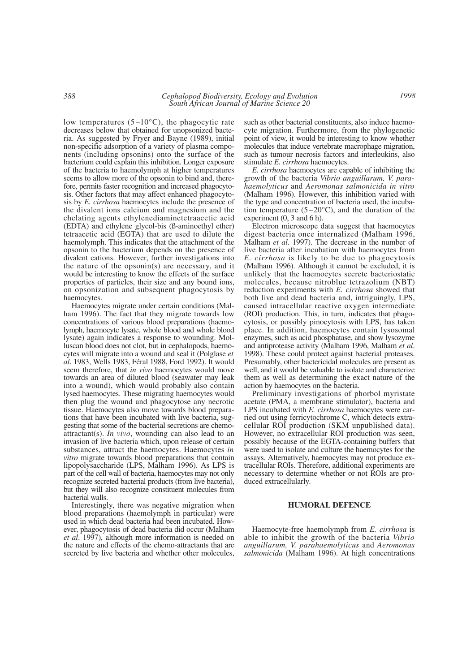low temperatures  $(5-10^{\circ}C)$ , the phagocytic rate decreases below that obtained for unopsonized bacteria. As suggested by Fryer and Bayne (1989), initial non-specific adsorption of a variety of plasma components (including opsonins) onto the surface of the bacterium could explain this inhibition. Longer exposure of the bacteria to haemolymph at higher temperatures seems to allow more of the opsonin to bind and, therefore, permits faster recognition and increased phagocytosis. Other factors that may affect enhanced phagocytosis by *E. cirrhosa* haemocytes include the presence of the divalent ions calcium and magnesium and the chelating agents ethylenediaminetetraacetic acid (EDTA) and ethylene glycol-bis (ß-aminoethyl ether) tetraacetic acid (EGTA) that are used to dilute the haemolymph. This indicates that the attachment of the opsonin to the bacterium depends on the presence of divalent cations. However, further investigations into the nature of the opsonin(s) are necessary, and it would be interesting to know the effects of the surface properties of particles, their size and any bound ions, on opsonization and subsequent phagocytosis by haemocytes.

Haemocytes migrate under certain conditions (Malham 1996). The fact that they migrate towards low concentrations of various blood preparations (haemolymph, haemocyte lysate, whole blood and whole blood lysate) again indicates a response to wounding. Molluscan blood does not clot, but in cephalopods, haemocytes will migrate into a wound and seal it (Polglase *et al*. 1983, Wells 1983, Féral 1988, Ford 1992). It would seem therefore, that *in vivo* haemocytes would move towards an area of diluted blood (seawater may leak into a wound), which would probably also contain lysed haemocytes. These migrating haemocytes would then plug the wound and phagocytose any necrotic tissue. Haemocytes also move towards blood preparations that have been incubated with live bacteria, suggesting that some of the bacterial secretions are chemoattractant(s). *In vivo*, wounding can also lead to an invasion of live bacteria which, upon release of certain substances, attract the haemocytes. Haemocytes *in vitro* migrate towards blood preparations that contain lipopolysaccharide (LPS, Malham 1996). As LPS is part of the cell wall of bacteria, haemocytes may not only recognize secreted bacterial products (from live bacteria), but they will also recognize constituent molecules from bacterial walls.

Interestingly, there was negative migration when blood preparations (haemolymph in particular) were used in which dead bacteria had been incubated. However, phagocytosis of dead bacteria did occur (Malham *et al*. 1997), although more information is needed on the nature and effects of the chemo-attractants that are secreted by live bacteria and whether other molecules,

such as other bacterial constituents, also induce haemocyte migration. Furthermore, from the phylogenetic point of view, it would be interesting to know whether molecules that induce vertebrate macrophage migration, such as tumour necrosis factors and interleukins, also stimulate *E. cirrhosa* haemocytes.

*E. cirrhosa* haemocytes are capable of inhibiting the growth of the bacteria *Vibrio anguillarum, V. parahaemolyticus* and *Aeromonas salmonicida in vitro* (Malham 1996). However, this inhibition varied with the type and concentration of bacteria used, the incubation temperature  $(5-20^{\circ}C)$ , and the duration of the experiment  $(0, 3 \text{ and } 6 \text{ h})$ .

Electron microscope data suggest that haemocytes digest bacteria once internalized (Malham 1996, Malham *et al*. 1997). The decrease in the number of live bacteria after incubation with haemocytes from *E. cirrhosa* is likely to be due to phagocytosis (Malham 1996). Although it cannot be excluded, it is unlikely that the haemocytes secrete bacteriostatic molecules, because nitroblue tetrazolium (NBT) reduction experiments with *E. cirrhosa* showed that both live and dead bacteria and, intriguingly, LPS, caused intracellular reactive oxygen intermediate (ROI) production. This, in turn, indicates that phagocytosis, or possibly pinocytosis with LPS, has taken place. In addition, haemocytes contain lysosomal enzymes, such as acid phosphatase, and show lysozyme and antiprotease activity (Malham 1996, Malham *et al*. 1998). These could protect against bacterial proteases. Presumably, other bactericidal molecules are present as well, and it would be valuable to isolate and characterize them as well as determining the exact nature of the action by haemocytes on the bacteria.

Preliminary investigations of phorbol myristate acetate (PMA, a membrane stimulator), bacteria and LPS incubated with *E. cirrhosa* haemocytes were carried out using ferricytochrome C, which detects extracellular ROI production (SKM unpublished data). However, no extracellular ROI production was seen, possibly because of the EGTA-containing buffers that were used to isolate and culture the haemocytes for the assays. Alternatively, haemocytes may not produce extracellular ROIs. Therefore, additional experiments are necessary to determine whether or not ROIs are produced extracellularly.

## **HUMORAL DEFENCE**

Haemocyte-free haemolymph from *E. cirrhosa* is able to inhibit the growth of the bacteria *Vibrio anguillarum, V. parahaemolyticus* and *Aeromonas salmonicida* (Malham 1996). At high concentrations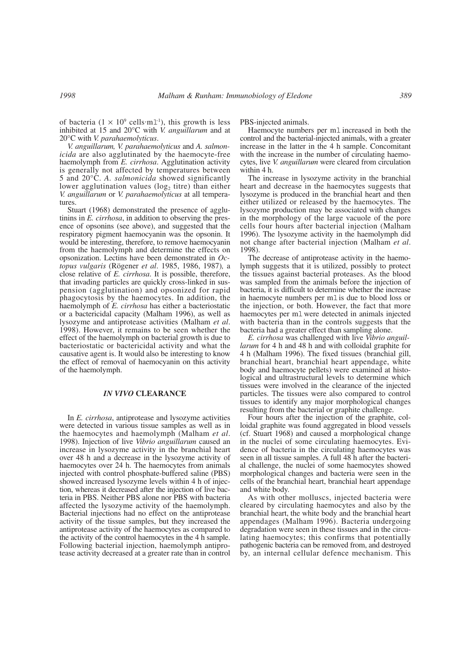of bacteria  $(1 \times 10^9 \text{ cells} \cdot \text{m1}^{-1})$ , this growth is less inhibited at 15 and 20°C with *V. anguillarum* and at 20°C with *V. parahaemolyticus*.

*V. anguillarum, V. parahaemolyticus* and *A. salmonicida* are also agglutinated by the haemocyte-free haemolymph from *E. cirrhosa*. Agglutination activity is generally not affected by temperatures between 5 and 20°C. *A. salmonicida* showed significantly lower agglutination values ( $log<sub>2</sub>$  titre) than either *V. anguillarum* or *V. parahaemolyticus* at all temperatures.

Stuart (1968) demonstrated the presence of agglutinins in *E. cirrhosa*, in addition to observing the presence of opsonins (see above), and suggested that the respiratory pigment haemocyanin was the opsonin. It would be interesting, therefore, to remove haemocyanin from the haemolymph and determine the effects on opsonization. Lectins have been demonstrated in *Octopus vulgaris* (Rögener *et al*. 1985, 1986, 1987)*,* a close relative of *E. cirrhosa*. It is possible, therefore, that invading particles are quickly cross-linked in suspension (agglutination) and opsonized for rapid phagocytosis by the haemocytes. In addition, the haemolymph of *E. cirrhosa* has either a bacteriostatic or a bactericidal capacity (Malham 1996), as well as lysozyme and antiprotease activities (Malham *et al*. 1998). However, it remains to be seen whether the effect of the haemolymph on bacterial growth is due to bacteriostatic or bactericidal activity and what the causative agent is. It would also be interesting to know the effect of removal of haemocyanin on this activity of the haemolymph.

#### *IN VIVO* **CLEARANCE**

In *E. cirrhosa*, antiprotease and lysozyme activities were detected in various tissue samples as well as in the haemocytes and haemolymph (Malham *et al*. 1998). Injection of live *Vibrio anguillarum* caused an increase in lysozyme activity in the branchial heart over 48 h and a decrease in the lysozyme activity of haemocytes over 24 h. The haemocytes from animals injected with control phosphate-buffered saline (PBS) showed increased lysozyme levels within 4 h of injection, whereas it decreased after the injection of live bacteria in PBS. Neither PBS alone nor PBS with bacteria affected the lysozyme activity of the haemolymph. Bacterial injections had no effect on the antiprotease activity of the tissue samples, but they increased the antiprotease activity of the haemocytes as compared to the activity of the control haemocytes in the 4 h sample. Following bacterial injection, haemolymph antiprotease activity decreased at a greater rate than in control

PBS-injected animals.

Haemocyte numbers per ml increased in both the control and the bacterial-injected animals, with a greater increase in the latter in the 4 h sample. Concomitant with the increase in the number of circulating haemocytes, live *V. anguillarum* were cleared from circulation within 4 h.

The increase in lysozyme activity in the branchial heart and decrease in the haemocytes suggests that lysozyme is produced in the branchial heart and then either utilized or released by the haemocytes. The lysozyme production may be associated with changes in the morphology of the large vacuole of the pore cells four hours after bacterial injection (Malham 1996). The lysozyme activity in the haemolymph did not change after bacterial injection (Malham *et al*. 1998).

The decrease of antiprotease activity in the haemolymph suggests that it is utilized, possibly to protect the tissues against bacterial proteases. As the blood was sampled from the animals before the injection of bacteria, it is difficult to determine whether the increase in haemocyte numbers per mlis due to blood loss or the injection, or both. However, the fact that more haemocytes per mlwere detected in animals injected with bacteria than in the controls suggests that the bacteria had a greater effect than sampling alone.

*E. cirrhosa* was challenged with live *Vibrio anguillarum* for 4 h and 48 h and with colloidal graphite for 4 h (Malham 1996). The fixed tissues (branchial gill, branchial heart, branchial heart appendage, white body and haemocyte pellets) were examined at histological and ultrastructural levels to determine which tissues were involved in the clearance of the injected particles. The tissues were also compared to control tissues to identify any major morphological changes resulting from the bacterial or graphite challenge.

Four hours after the injection of the graphite, colloidal graphite was found aggregated in blood vessels (cf. Stuart 1968) and caused a morphological change in the nuclei of some circulating haemocytes. Evidence of bacteria in the circulating haemocytes was seen in all tissue samples. A full 48 h after the bacterial challenge, the nuclei of some haemocytes showed morphological changes and bacteria were seen in the cells of the branchial heart, branchial heart appendage and white body.

As with other molluscs, injected bacteria were cleared by circulating haemocytes and also by the branchial heart, the white body and the branchial heart appendages (Malham 1996). Bacteria undergoing degradation were seen in these tissues and in the circulating haemocytes; this confirms that potentially pathogenic bacteria can be removed from, and destroyed by, an internal cellular defence mechanism. This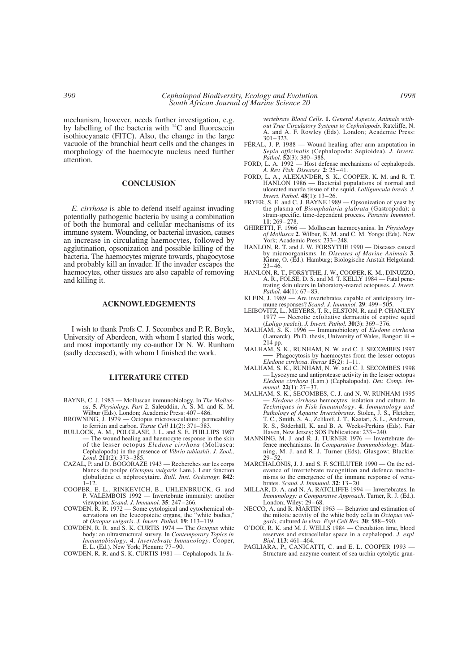mechanism, however, needs further investigation, e.g. by labelling of the bacteria with  $^{14}$ C and fluorescein isothiocyanate (FITC). Also, the change in the large vacuole of the branchial heart cells and the changes in morphology of the haemocyte nucleus need further attention.

#### **CONCLUSION**

*E. cirrhosa* is able to defend itself against invading potentially pathogenic bacteria by using a combination of both the humoral and cellular mechanisms of its immune system. Wounding, or bacterial invasion, causes an increase in circulating haemocytes, followed by agglutination, opsonization and possible killing of the bacteria. The haemocytes migrate towards, phagocytose and probably kill an invader. If the invader escapes the haemocytes, other tissues are also capable of removing and killing it.

## **ACKNOWLEDGEMENTS**

I wish to thank Profs C. J. Secombes and P. R. Boyle, University of Aberdeen, with whom I started this work, and most importantly my co-author Dr N. W. Runham (sadly deceased), with whom I finished the work.

# **LITERATURE CITED**

- BAYNE, C. J. 1983 Molluscan immunobiology. In *The Mollusca*. **5**. *Physiology, Part* 2. Saleuddin, A. S. M. and K. M. Wilbur (Eds). London; Academic Press: 407–486.
- BROWNING, J. 1979 Octopus microvasculature: permeability to ferritin and carbon. *Tissue Cell* **11**(2): 371–383.
- BULLOCK, A. M., POLGLASE, J. L. and S. E. PHILLIPS 1987 — The wound healing and haemocyte response in the skin of the lesser octopus *Eledone cirrhosa* (Mollusca: Cephalopoda) in the presence of *Vibrio tubiashii*. *J. Zool., Lond.* **211**(2): 373–385.
- CAZAL, P. and D. BOGORAZE 1943 Recherches sur les corps blancs du poulpe (*Octopus vulgaris* Lam.). Leur fonction globuligéne et néphrocytaire. *Bull. Inst. Océanogr.* **842**:  $1 - 12$ .
- COOPER, E. L., RINKEVICH, B., UHLENBRUCK, G. and P. VALEMBOIS 1992 — Invertebrate immunity: another viewpoint. *Scand. J. Immunol.* **35**: 247–266.
- COWDEN, R. R. 1972 Some cytological and cytochemical observations on the leucopoietic organs, the "white bodies," of *Octopus vulgaris*. *J. Invert. Pathol.* **19**: 113–119.
- COWDEN, R. R. and S. K. CURTIS 1974 The *Octopus* white body: an ultrastructural survey. In *Contemporary Topics in Immunobiology*. **4**. *Invertebrate Immunology*. Cooper, E. L. (Ed.). New York; Plenum: 77–90.
- COWDEN, R. R. and S. K. CURTIS 1981 Cephalopods. In *In-*

*vertebrate Blood Cells*. **1.** *General Aspects, Animals without True Circulatory Systems to Cephalopods*. Ratcliffe, N. A. and A. F. Rowley (Eds). London; Academic Press: 301–323.

- FÉRAL, J. P. 1988 Wound healing after arm amputation in *Sepia officinalis* (Cephalopoda: Sepioidea). *J. Invert. Pathol.* **52**(3): 380–388.
- FORD, L. A. 1992 Host defense mechanisms of cephalopods. *A. Rev. Fish Diseases* **2**: 25–41.
- FORD, L. A., ALEXANDER, S. K., COOPER, K. M. and R. T. HANLON 1986 — Bacterial populations of normal and ulcerated mantle tissue of the squid, *Lolliguncula brevis*. *J. Invert. Pathol.* **48**(1): 13–26.
- FRYER, S. E. and C. J. BAYNE 1989 Opsonization of yeast by the plasma of *Biomphalaria glabrata* (Gastropoda): a strain-specific, time-dependent process. *Parasite Immunol*. **11**: 269–278.
- GHIRETTI, F. 1966 Molluscan haemocyanins. In *Physiology of Mollusca* **2**. Wilbur, K. M. and C. M. Yonge (Eds). New York; Academic Press: 233–248.
- HANLON, R. T. and J. W. FORSYTHE 1990 Diseases caused by microorganisms. In *Diseases of Marine Animals* **3**. Kinne, O. (Ed.). Hamburg; Biologische Anstalt Helgoland:  $23 - 46$
- HANLON, R. T., FORSYTHE, J. W., COOPER, K. M., DINUZZO, A. R., FOLSE, D. S. and M. T. KELLY 1984 — Fatal penetrating skin ulcers in laboratory-reared octopuses. *J. Invert. Pathol.* **44**(1): 67–83.
- KLEIN, J. 1989 Are invertebrates capable of anticipatory im-mune responses? *Scand. J. Immunol.* **29**: 499–505.
- LEIBOVITZ, L., MEYERS, T. R., ELSTON, R. and P. CHANLEY 1977 — Necrotic exfoliative dermatitis of captive squid (*Loligo pealei*). *J. Invert. Pathol.* **30**(3): 369–376.
- MALHAM, S. K. 1996 Immunobiology of *Eledone cirrhosa* (Lamarck). Ph.D. thesis, University of Wales, Bangor: iii + 214 pp.<br>MALHAM, S. K., RUNHAM, N. W. and C. J. SECOMBES 1997
- Phagocytosis by haemocytes from the lesser octopus *Eledone cirrhosa*. *Iberus* **15**(2): 1–11.
- MALHAM, S. K., RUNHAM, N. W. and C. J. SECOMBES 1998 — Lysozyme and antiprotease activity in the lesser octopus *Eledone cirrhosa* (Lam.) (Cephalopoda). *Dev. Comp. Immunol.* **22**(1): 27–37.
- MALHAM, S. K., SECOMBES, C. J. and N. W. RUNHAM 1995 — *Eledone cirrhosa* hemocytes: isolation and culture. In *Techniques in Fish Immunology*. **4**. *Immunology and Pathology of Aquatic Invertebrates*. Stolen, J. S., Fletcher, T. C., Smith, S. A., Zelikoff, J. T., Kaatari, S. L., Anderson, R. S., Söderhäll, K. and B. A. Weeks-Perkins (Eds). Fair Haven, New Jersey; SOS Publications: 233–240.
- MANNING, M. J. and R. J. TURNER 1976 Invertebrate defence mechanisms. In *Comparative Immunobiology*. Manning, M. J. and R. J. Turner (Eds). Glasgow; Blackie:  $29-52.$
- MARCHALONIS, J. J. and S. F. SCHLUTER 1990 On the relevance of invertebrate recognition and defence mechanisms to the emergence of the immune response of vertebrates. *Scand. J. Immunol.* **32**: 13–20.
- MILLAR, D. A. and N. A. RATCLIFFE 1994 Invertebrates. In *Immunology: a Comparative Approach*. Turner, R. J. (Ed.). London; Wiley: 29–68.
- NECCO, A. and R. MARTIN 1963 Behavior and estimation of the mitotic activity of the white body cells in *Octopus vulgaris*, cultured *in vitro*. *Expl Cell Res.* **30**: 588–590.
- O'DOR, R. K. and M. J. WELLS 1984 Circulation time, blood reserves and extracellular space in a cephalopod. *J. expl Biol.* **113**: 461–464.
- PAGLIARA, P., CANICATTI, C. and E. L. COOPER 1993 Structure and enzyme content of sea urchin cytolytic gran-